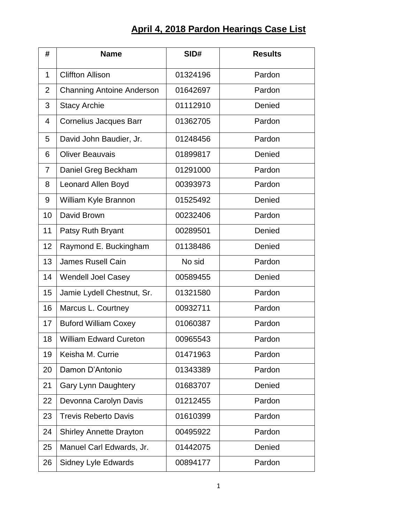## **April 4, 2018 Pardon Hearings Case List**

| #              | <b>Name</b>                      | SID#     | <b>Results</b> |
|----------------|----------------------------------|----------|----------------|
| $\mathbf{1}$   | <b>Cliffton Allison</b>          | 01324196 | Pardon         |
| $\overline{2}$ | <b>Channing Antoine Anderson</b> | 01642697 | Pardon         |
| 3              | <b>Stacy Archie</b>              | 01112910 | Denied         |
| 4              | <b>Cornelius Jacques Barr</b>    | 01362705 | Pardon         |
| 5              | David John Baudier, Jr.          | 01248456 | Pardon         |
| 6              | <b>Oliver Beauvais</b>           | 01899817 | Denied         |
| 7              | Daniel Greg Beckham              | 01291000 | Pardon         |
| 8              | Leonard Allen Boyd               | 00393973 | Pardon         |
| 9              | William Kyle Brannon             | 01525492 | Denied         |
| 10             | David Brown                      | 00232406 | Pardon         |
| 11             | Patsy Ruth Bryant                | 00289501 | Denied         |
| 12             | Raymond E. Buckingham            | 01138486 | Denied         |
| 13             | <b>James Rusell Cain</b>         | No sid   | Pardon         |
| 14             | <b>Wendell Joel Casey</b>        | 00589455 | Denied         |
| 15             | Jamie Lydell Chestnut, Sr.       | 01321580 | Pardon         |
| 16             | Marcus L. Courtney               | 00932711 | Pardon         |
| 17             | <b>Buford William Coxey</b>      | 01060387 | Pardon         |
| 18             | <b>William Edward Cureton</b>    | 00965543 | Pardon         |
| 19             | Keisha M. Currie                 | 01471963 | Pardon         |
| 20             | Damon D'Antonio                  | 01343389 | Pardon         |
| 21             | <b>Gary Lynn Daughtery</b>       | 01683707 | Denied         |
| 22             | Devonna Carolyn Davis            | 01212455 | Pardon         |
| 23             | <b>Trevis Reberto Davis</b>      | 01610399 | Pardon         |
| 24             | <b>Shirley Annette Drayton</b>   | 00495922 | Pardon         |
| 25             | Manuel Carl Edwards, Jr.         | 01442075 | Denied         |
| 26             | <b>Sidney Lyle Edwards</b>       | 00894177 | Pardon         |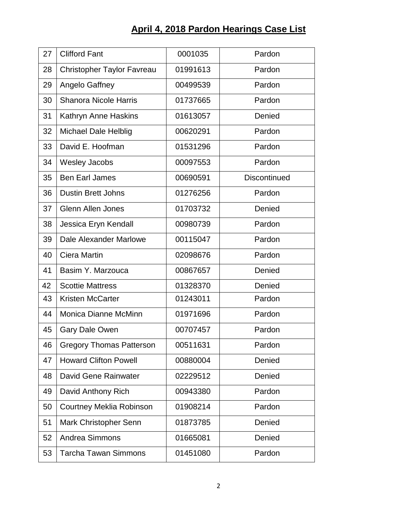## **April 4, 2018 Pardon Hearings Case List**

| 27 | <b>Clifford Fant</b>            | 0001035  | Pardon              |
|----|---------------------------------|----------|---------------------|
| 28 | Christopher Taylor Favreau      | 01991613 | Pardon              |
| 29 | Angelo Gaffney                  | 00499539 | Pardon              |
| 30 | <b>Shanora Nicole Harris</b>    | 01737665 | Pardon              |
| 31 | Kathryn Anne Haskins            | 01613057 | Denied              |
| 32 | <b>Michael Dale Helblig</b>     | 00620291 | Pardon              |
| 33 | David E. Hoofman                | 01531296 | Pardon              |
| 34 | <b>Wesley Jacobs</b>            | 00097553 | Pardon              |
| 35 | <b>Ben Earl James</b>           | 00690591 | <b>Discontinued</b> |
| 36 | <b>Dustin Brett Johns</b>       | 01276256 | Pardon              |
| 37 | <b>Glenn Allen Jones</b>        | 01703732 | Denied              |
| 38 | Jessica Eryn Kendall            | 00980739 | Pardon              |
| 39 | Dale Alexander Marlowe          | 00115047 | Pardon              |
| 40 | Ciera Martin                    | 02098676 | Pardon              |
| 41 | Basim Y. Marzouca               | 00867657 | Denied              |
| 42 | <b>Scottie Mattress</b>         | 01328370 | Denied              |
| 43 | <b>Kristen McCarter</b>         | 01243011 | Pardon              |
| 44 | <b>Monica Dianne McMinn</b>     | 01971696 | Pardon              |
| 45 | <b>Gary Dale Owen</b>           | 00707457 | Pardon              |
| 46 | <b>Gregory Thomas Patterson</b> | 00511631 | Pardon              |
| 47 | <b>Howard Clifton Powell</b>    | 00880004 | Denied              |
| 48 | David Gene Rainwater            | 02229512 | Denied              |
| 49 | David Anthony Rich              | 00943380 | Pardon              |
| 50 | <b>Courtney Meklia Robinson</b> | 01908214 | Pardon              |
| 51 | Mark Christopher Senn           | 01873785 | Denied              |
| 52 | <b>Andrea Simmons</b>           | 01665081 | Denied              |
| 53 | <b>Tarcha Tawan Simmons</b>     | 01451080 | Pardon              |